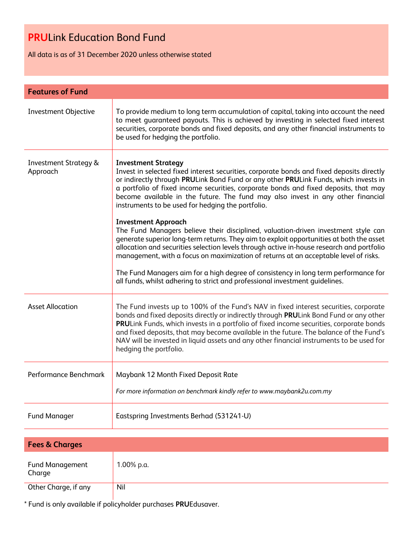All data is as of 31 December 2020 unless otherwise stated

| To provide medium to long term accumulation of capital, taking into account the need<br>to meet guaranteed payouts. This is achieved by investing in selected fixed interest<br>securities, corporate bonds and fixed deposits, and any other financial instruments to<br>be used for hedging the portfolio.                                                                                                                                                                               |
|--------------------------------------------------------------------------------------------------------------------------------------------------------------------------------------------------------------------------------------------------------------------------------------------------------------------------------------------------------------------------------------------------------------------------------------------------------------------------------------------|
| <b>Investment Strategy</b><br>Invest in selected fixed interest securities, corporate bonds and fixed deposits directly<br>or indirectly through PRULink Bond Fund or any other PRULink Funds, which invests in<br>a portfolio of fixed income securities, corporate bonds and fixed deposits, that may<br>become available in the future. The fund may also invest in any other financial<br>instruments to be used for hedging the portfolio.                                            |
| <b>Investment Approach</b><br>The Fund Managers believe their disciplined, valuation-driven investment style can<br>generate superior long-term returns. They aim to exploit opportunities at both the asset<br>allocation and securities selection levels through active in-house research and portfolio<br>management, with a focus on maximization of returns at an acceptable level of risks.<br>The Fund Managers aim for a high degree of consistency in long term performance for   |
| all funds, whilst adhering to strict and professional investment guidelines.                                                                                                                                                                                                                                                                                                                                                                                                               |
| The Fund invests up to 100% of the Fund's NAV in fixed interest securities, corporate<br>bonds and fixed deposits directly or indirectly through PRULink Bond Fund or any other<br>PRULink Funds, which invests in a portfolio of fixed income securities, corporate bonds<br>and fixed deposits, that may become available in the future. The balance of the Fund's<br>NAV will be invested in liquid assets and any other financial instruments to be used for<br>hedging the portfolio. |
| Maybank 12 Month Fixed Deposit Rate<br>For more information on benchmark kindly refer to www.maybank2u.com.my                                                                                                                                                                                                                                                                                                                                                                              |
| Eastspring Investments Berhad (531241-U)                                                                                                                                                                                                                                                                                                                                                                                                                                                   |
|                                                                                                                                                                                                                                                                                                                                                                                                                                                                                            |

| <b>Fees &amp; Charges</b>        |            |
|----------------------------------|------------|
| <b>Fund Management</b><br>Charge | 1.00% p.a. |
| Other Charge, if any             | Nil        |

\* Fund is only available if policyholder purchases **PRU**Edusaver.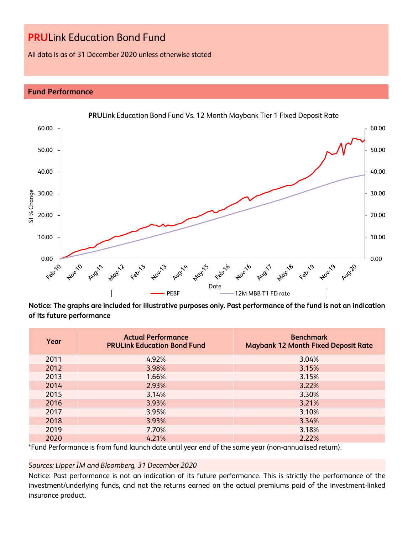All data is as of 31 December 2020 unless otherwise stated

## **Fund Performance**



**Notice: The graphs are included for illustrative purposes only. Past performance of the fund is not an indication of its future performance**

| Year | <b>Actual Performance</b><br><b>PRULink Education Bond Fund</b> | <b>Benchmark</b><br><b>Maybank 12 Month Fixed Deposit Rate</b> |
|------|-----------------------------------------------------------------|----------------------------------------------------------------|
| 2011 | 4.92%                                                           | 3.04%                                                          |
| 2012 | 3.98%                                                           | 3.15%                                                          |
| 2013 | 1.66%                                                           | 3.15%                                                          |
| 2014 | 2.93%                                                           | 3.22%                                                          |
| 2015 | 3.14%                                                           | 3.30%                                                          |
| 2016 | 3.93%                                                           | 3.21%                                                          |
| 2017 | 3.95%                                                           | 3.10%                                                          |
| 2018 | 3.93%                                                           | 3.34%                                                          |
| 2019 | 7.70%                                                           | 3.18%                                                          |
| 2020 | 4.21%                                                           | 2.22%                                                          |

\*Fund Performance is from fund launch date until year end of the same year (non-annualised return).

### *Sources: Lipper IM and Bloomberg, 31 December 2020*

Notice: Past performance is not an indication of its future performance. This is strictly the performance of the investment/underlying funds, and not the returns earned on the actual premiums paid of the investment-linked insurance product.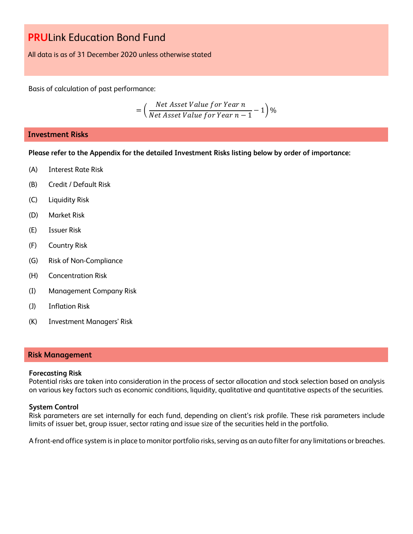All data is as of 31 December 2020 unless otherwise stated

Basis of calculation of past performance:

$$
= \left(\frac{Net\ Asset\ Value\ for\ Year\ n}{Net\ Asset\ Value\ for\ Year\ n-1} - 1\right)\%
$$

### **Investment Risks**

**Please refer to the Appendix for the detailed Investment Risks listing below by order of importance:**

- (A) Interest Rate Risk
- (B) Credit / Default Risk
- (C) Liquidity Risk
- (D) Market Risk
- (E) Issuer Risk
- (F) Country Risk
- (G) Risk of Non-Compliance
- (H) Concentration Risk
- (I) Management Company Risk
- (J) Inflation Risk
- (K) Investment Managers' Risk

#### **Risk Management**

#### **Forecasting Risk**

Potential risks are taken into consideration in the process of sector allocation and stock selection based on analysis on various key factors such as economic conditions, liquidity, qualitative and quantitative aspects of the securities.

#### **System Control**

Risk parameters are set internally for each fund, depending on client's risk profile. These risk parameters include limits of issuer bet, group issuer, sector rating and issue size of the securities held in the portfolio.

A front-end office system is in place to monitor portfolio risks, serving as an auto filter for any limitations or breaches.